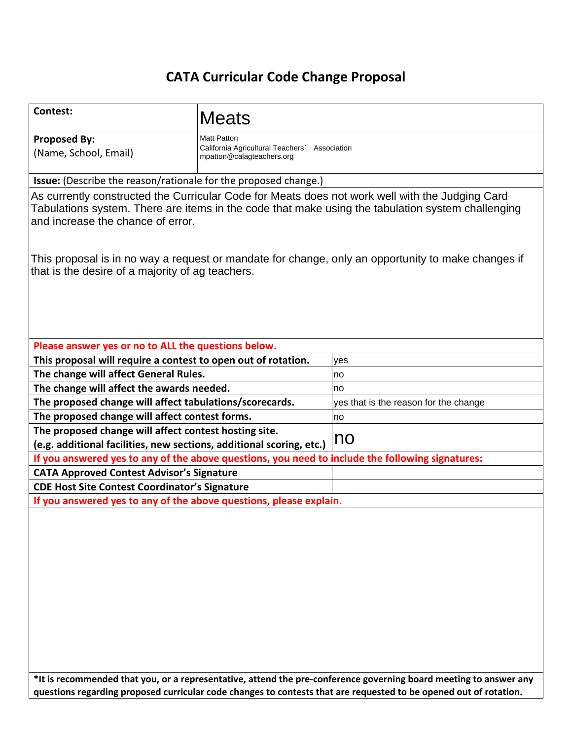# **CATA Curricular Code Change Proposal**

| <b>Meats</b>                                                                                                                                                                                                                              |                                                                                                                                                                                                                                                                                                                                                                                                                                                                                                                                                                                                                                            |  |  |  |  |  |  |  |  |
|-------------------------------------------------------------------------------------------------------------------------------------------------------------------------------------------------------------------------------------------|--------------------------------------------------------------------------------------------------------------------------------------------------------------------------------------------------------------------------------------------------------------------------------------------------------------------------------------------------------------------------------------------------------------------------------------------------------------------------------------------------------------------------------------------------------------------------------------------------------------------------------------------|--|--|--|--|--|--|--|--|
| <b>Matt Patton</b><br>California Agricultural Teachers'<br>Association<br>mpatton@calagteachers.org                                                                                                                                       |                                                                                                                                                                                                                                                                                                                                                                                                                                                                                                                                                                                                                                            |  |  |  |  |  |  |  |  |
| <b>Issue:</b> (Describe the reason/rationale for the proposed change.)                                                                                                                                                                    |                                                                                                                                                                                                                                                                                                                                                                                                                                                                                                                                                                                                                                            |  |  |  |  |  |  |  |  |
| As currently constructed the Curricular Code for Meats does not work well with the Judging Card<br>Tabulations system. There are items in the code that make using the tabulation system challenging<br>and increase the chance of error. |                                                                                                                                                                                                                                                                                                                                                                                                                                                                                                                                                                                                                                            |  |  |  |  |  |  |  |  |
| This proposal is in no way a request or mandate for change, only an opportunity to make changes if<br>that is the desire of a majority of ag teachers.                                                                                    |                                                                                                                                                                                                                                                                                                                                                                                                                                                                                                                                                                                                                                            |  |  |  |  |  |  |  |  |
|                                                                                                                                                                                                                                           |                                                                                                                                                                                                                                                                                                                                                                                                                                                                                                                                                                                                                                            |  |  |  |  |  |  |  |  |
|                                                                                                                                                                                                                                           | yes                                                                                                                                                                                                                                                                                                                                                                                                                                                                                                                                                                                                                                        |  |  |  |  |  |  |  |  |
|                                                                                                                                                                                                                                           | no                                                                                                                                                                                                                                                                                                                                                                                                                                                                                                                                                                                                                                         |  |  |  |  |  |  |  |  |
|                                                                                                                                                                                                                                           | no                                                                                                                                                                                                                                                                                                                                                                                                                                                                                                                                                                                                                                         |  |  |  |  |  |  |  |  |
|                                                                                                                                                                                                                                           | yes that is the reason for the change                                                                                                                                                                                                                                                                                                                                                                                                                                                                                                                                                                                                      |  |  |  |  |  |  |  |  |
|                                                                                                                                                                                                                                           | no                                                                                                                                                                                                                                                                                                                                                                                                                                                                                                                                                                                                                                         |  |  |  |  |  |  |  |  |
|                                                                                                                                                                                                                                           |                                                                                                                                                                                                                                                                                                                                                                                                                                                                                                                                                                                                                                            |  |  |  |  |  |  |  |  |
|                                                                                                                                                                                                                                           | no                                                                                                                                                                                                                                                                                                                                                                                                                                                                                                                                                                                                                                         |  |  |  |  |  |  |  |  |
|                                                                                                                                                                                                                                           | If you answered yes to any of the above questions, you need to include the following signatures:                                                                                                                                                                                                                                                                                                                                                                                                                                                                                                                                           |  |  |  |  |  |  |  |  |
|                                                                                                                                                                                                                                           |                                                                                                                                                                                                                                                                                                                                                                                                                                                                                                                                                                                                                                            |  |  |  |  |  |  |  |  |
|                                                                                                                                                                                                                                           |                                                                                                                                                                                                                                                                                                                                                                                                                                                                                                                                                                                                                                            |  |  |  |  |  |  |  |  |
|                                                                                                                                                                                                                                           |                                                                                                                                                                                                                                                                                                                                                                                                                                                                                                                                                                                                                                            |  |  |  |  |  |  |  |  |
|                                                                                                                                                                                                                                           | *It is recommended that you, or a representative, attend the pre-conference governing board meeting to answer any                                                                                                                                                                                                                                                                                                                                                                                                                                                                                                                          |  |  |  |  |  |  |  |  |
|                                                                                                                                                                                                                                           | Please answer yes or no to ALL the questions below.<br>This proposal will require a contest to open out of rotation.<br>The change will affect General Rules.<br>The change will affect the awards needed.<br>The proposed change will affect tabulations/scorecards.<br>The proposed change will affect contest forms.<br>The proposed change will affect contest hosting site.<br>(e.g. additional facilities, new sections, additional scoring, etc.)<br><b>CATA Approved Contest Advisor's Signature</b><br><b>CDE Host Site Contest Coordinator's Signature</b><br>If you answered yes to any of the above questions, please explain. |  |  |  |  |  |  |  |  |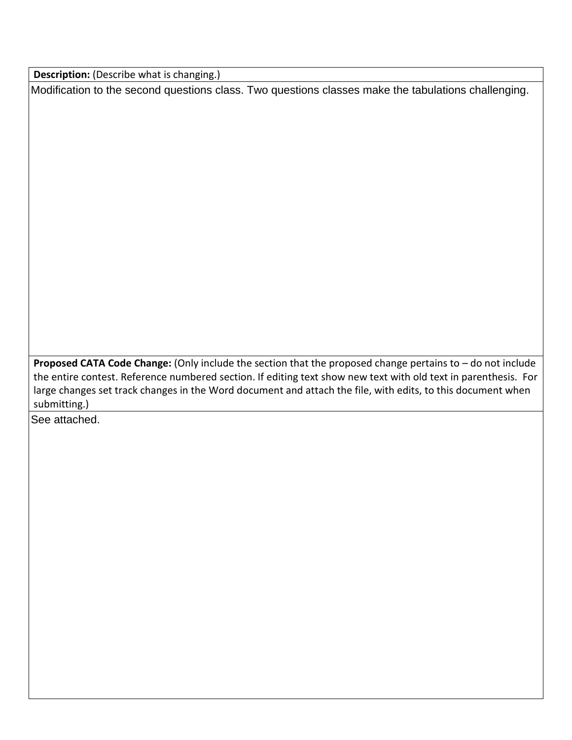**Description:** (Describe what is changing.)

Modification to the second questions class. Two questions classes make the tabulations challenging.

**Proposed CATA Code Change:** (Only include the section that the proposed change pertains to – do not include the entire contest. Reference numbered section. If editing text show new text with old text in parenthesis. For large changes set track changes in the Word document and attach the file, with edits, to this document when submitting.)

See attached.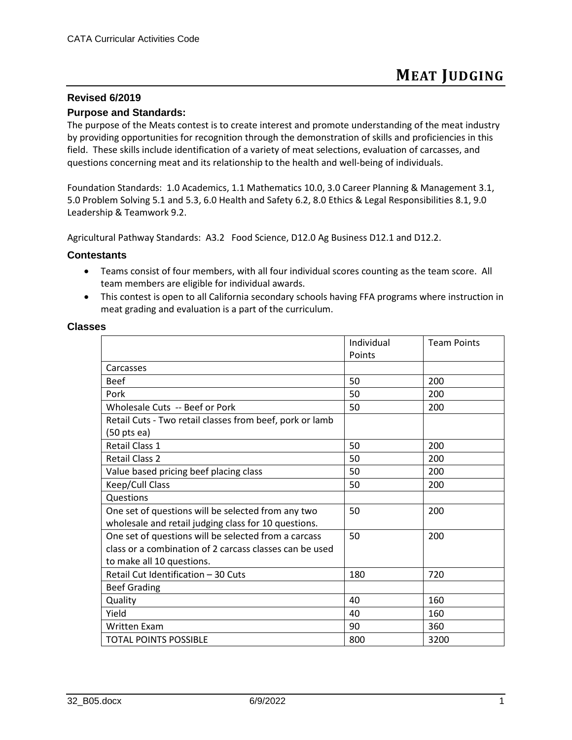#### **Revised 6/2019**

#### **Purpose and Standards:**

The purpose of the Meats contest is to create interest and promote understanding of the meat industry by providing opportunities for recognition through the demonstration of skills and proficiencies in this field. These skills include identification of a variety of meat selections, evaluation of carcasses, and questions concerning meat and its relationship to the health and well-being of individuals.

Foundation Standards: 1.0 Academics, 1.1 Mathematics 10.0, 3.0 Career Planning & Management 3.1, 5.0 Problem Solving 5.1 and 5.3, 6.0 Health and Safety 6.2, 8.0 Ethics & Legal Responsibilities 8.1, 9.0 Leadership & Teamwork 9.2.

Agricultural Pathway Standards: A3.2 Food Science, D12.0 Ag Business D12.1 and D12.2.

#### **Contestants**

- Teams consist of four members, with all four individual scores counting as the team score. All team members are eligible for individual awards.
- This contest is open to all California secondary schools having FFA programs where instruction in meat grading and evaluation is a part of the curriculum.

#### **Classes**

|                                                          | Individual | <b>Team Points</b> |
|----------------------------------------------------------|------------|--------------------|
|                                                          | Points     |                    |
| Carcasses                                                |            |                    |
| <b>Beef</b>                                              | 50         | 200                |
| Pork                                                     | 50         | 200                |
| Wholesale Cuts -- Beef or Pork                           | 50         | 200                |
| Retail Cuts - Two retail classes from beef, pork or lamb |            |                    |
| $(50$ pts ea)                                            |            |                    |
| <b>Retail Class 1</b>                                    | 50         | 200                |
| <b>Retail Class 2</b>                                    | 50         | 200                |
| Value based pricing beef placing class                   | 50         | 200                |
| Keep/Cull Class                                          | 50         | 200                |
| Questions                                                |            |                    |
| One set of questions will be selected from any two       | 50         | 200                |
| wholesale and retail judging class for 10 questions.     |            |                    |
| One set of questions will be selected from a carcass     | 50         | 200                |
| class or a combination of 2 carcass classes can be used  |            |                    |
| to make all 10 questions.                                |            |                    |
| Retail Cut Identification - 30 Cuts                      | 180        | 720                |
| <b>Beef Grading</b>                                      |            |                    |
| Quality                                                  | 40         | 160                |
| Yield                                                    | 40         | 160                |
| <b>Written Exam</b>                                      | 90         | 360                |
| <b>TOTAL POINTS POSSIBLE</b>                             | 800        | 3200               |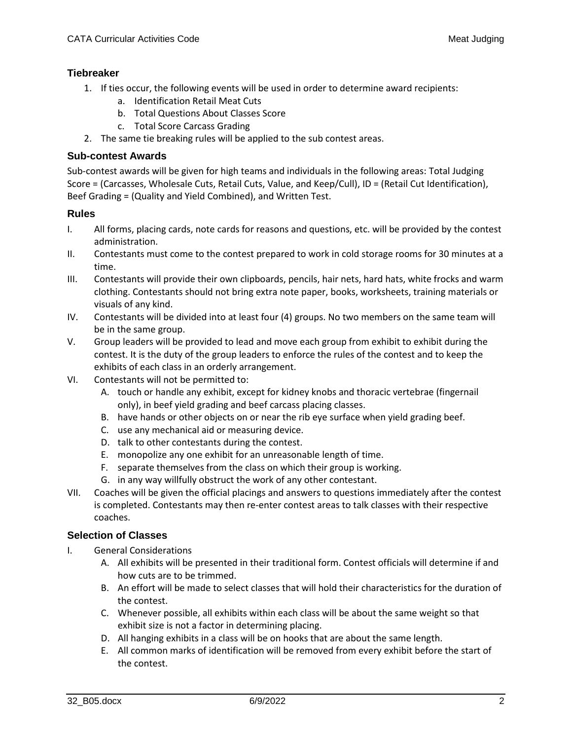# **Tiebreaker**

- 1. If ties occur, the following events will be used in order to determine award recipients:
	- a. Identification Retail Meat Cuts
	- b. Total Questions About Classes Score
	- c. Total Score Carcass Grading
- 2. The same tie breaking rules will be applied to the sub contest areas.

#### **Sub-contest Awards**

Sub-contest awards will be given for high teams and individuals in the following areas: Total Judging Score = (Carcasses, Wholesale Cuts, Retail Cuts, Value, and Keep/Cull), ID = (Retail Cut Identification), Beef Grading = (Quality and Yield Combined), and Written Test.

#### **Rules**

- I. All forms, placing cards, note cards for reasons and questions, etc. will be provided by the contest administration.
- II. Contestants must come to the contest prepared to work in cold storage rooms for 30 minutes at a time.
- III. Contestants will provide their own clipboards, pencils, hair nets, hard hats, white frocks and warm clothing. Contestants should not bring extra note paper, books, worksheets, training materials or visuals of any kind.
- IV. Contestants will be divided into at least four (4) groups. No two members on the same team will be in the same group.
- V. Group leaders will be provided to lead and move each group from exhibit to exhibit during the contest. It is the duty of the group leaders to enforce the rules of the contest and to keep the exhibits of each class in an orderly arrangement.
- VI. Contestants will not be permitted to:
	- A. touch or handle any exhibit, except for kidney knobs and thoracic vertebrae (fingernail only), in beef yield grading and beef carcass placing classes.
	- B. have hands or other objects on or near the rib eye surface when yield grading beef.
	- C. use any mechanical aid or measuring device.
	- D. talk to other contestants during the contest.
	- E. monopolize any one exhibit for an unreasonable length of time.
	- F. separate themselves from the class on which their group is working.
	- G. in any way willfully obstruct the work of any other contestant.
- VII. Coaches will be given the official placings and answers to questions immediately after the contest is completed. Contestants may then re-enter contest areas to talk classes with their respective coaches.

#### **Selection of Classes**

- I. General Considerations
	- A. All exhibits will be presented in their traditional form. Contest officials will determine if and how cuts are to be trimmed.
	- B. An effort will be made to select classes that will hold their characteristics for the duration of the contest.
	- C. Whenever possible, all exhibits within each class will be about the same weight so that exhibit size is not a factor in determining placing.
	- D. All hanging exhibits in a class will be on hooks that are about the same length.
	- E. All common marks of identification will be removed from every exhibit before the start of the contest.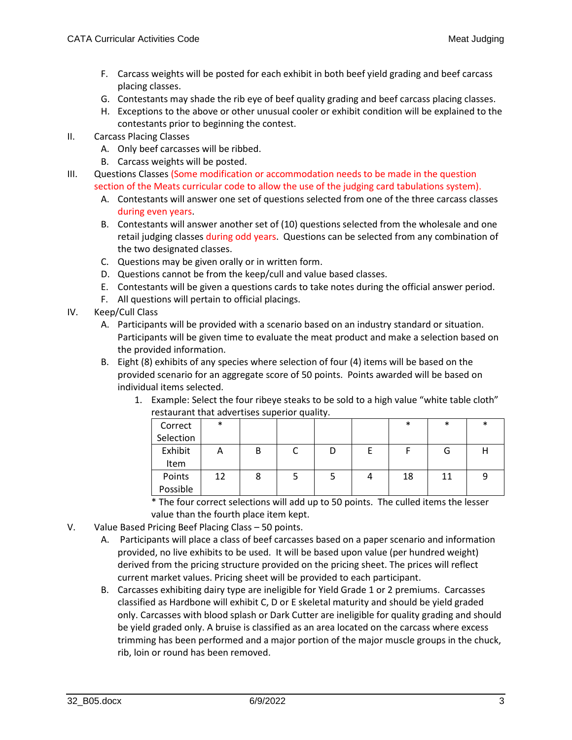- F. Carcass weights will be posted for each exhibit in both beef yield grading and beef carcass placing classes.
- G. Contestants may shade the rib eye of beef quality grading and beef carcass placing classes.
- H. Exceptions to the above or other unusual cooler or exhibit condition will be explained to the contestants prior to beginning the contest.
- II. Carcass Placing Classes
	- A. Only beef carcasses will be ribbed.
	- B. Carcass weights will be posted.
- III. Questions Classes (Some modification or accommodation needs to be made in the question section of the Meats curricular code to allow the use of the judging card tabulations system).
	- A. Contestants will answer one set of questions selected from one of the three carcass classes during even years.
	- B. Contestants will answer another set of (10) questions selected from the wholesale and one retail judging classes during odd years. Questions can be selected from any combination of the two designated classes.
	- C. Questions may be given orally or in written form.
	- D. Questions cannot be from the keep/cull and value based classes.
	- E. Contestants will be given a questions cards to take notes during the official answer period.
	- F. All questions will pertain to official placings.
- IV. Keep/Cull Class
	- A. Participants will be provided with a scenario based on an industry standard or situation. Participants will be given time to evaluate the meat product and make a selection based on the provided information.
	- B. Eight (8) exhibits of any species where selection of four (4) items will be based on the provided scenario for an aggregate score of 50 points. Points awarded will be based on individual items selected.
		- 1. Example: Select the four ribeye steaks to be sold to a high value "white table cloth" restaurant that advertises superior quality.

| Correct            | $\ast$ |  |  | $\ast$ | $\ast$ | $\ast$ |
|--------------------|--------|--|--|--------|--------|--------|
| Selection          |        |  |  |        |        |        |
| Exhibit<br>Item    | A      |  |  |        | G      |        |
| Points<br>Possible | 12     |  |  | 18     | 11     |        |

\* The four correct selections will add up to 50 points. The culled items the lesser value than the fourth place item kept.

- V. Value Based Pricing Beef Placing Class 50 points.
	- A. Participants will place a class of beef carcasses based on a paper scenario and information provided, no live exhibits to be used. It will be based upon value (per hundred weight) derived from the pricing structure provided on the pricing sheet. The prices will reflect current market values. Pricing sheet will be provided to each participant.
	- B. Carcasses exhibiting dairy type are ineligible for Yield Grade 1 or 2 premiums. Carcasses classified as Hardbone will exhibit C, D or E skeletal maturity and should be yield graded only. Carcasses with blood splash or Dark Cutter are ineligible for quality grading and should be yield graded only. A bruise is classified as an area located on the carcass where excess trimming has been performed and a major portion of the major muscle groups in the chuck, rib, loin or round has been removed.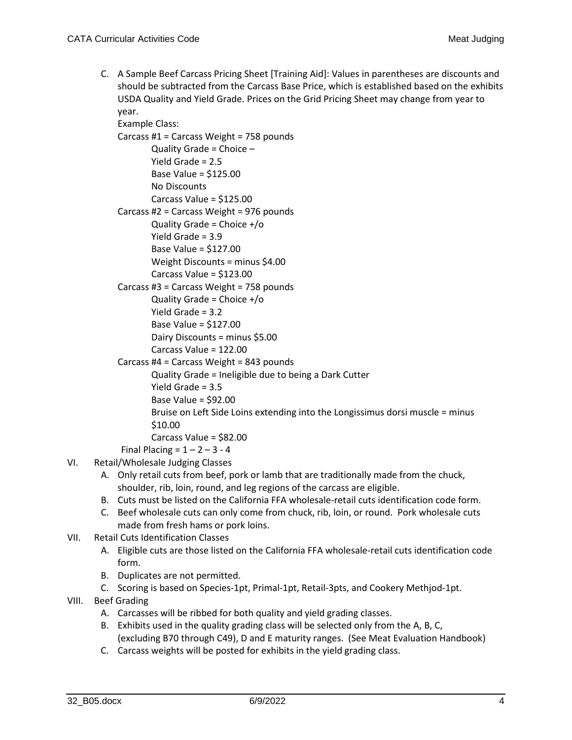C. A Sample Beef Carcass Pricing Sheet [Training Aid]: Values in parentheses are discounts and should be subtracted from the Carcass Base Price, which is established based on the exhibits USDA Quality and Yield Grade. Prices on the Grid Pricing Sheet may change from year to year.

Example Class: Carcass #1 = Carcass Weight = 758 pounds Quality Grade = Choice – Yield Grade = 2.5 Base Value = \$125.00 No Discounts Carcass Value = \$125.00 Carcass #2 = Carcass Weight = 976 pounds Quality Grade = Choice +/o Yield Grade = 3.9 Base Value = \$127.00 Weight Discounts = minus \$4.00 Carcass Value = \$123.00 Carcass #3 = Carcass Weight = 758 pounds Quality Grade = Choice +/o Yield Grade = 3.2 Base Value = \$127.00 Dairy Discounts = minus \$5.00 Carcass Value = 122.00 Carcass #4 = Carcass Weight = 843 pounds Quality Grade = Ineligible due to being a Dark Cutter Yield Grade = 3.5 Base Value = \$92.00 Bruise on Left Side Loins extending into the Longissimus dorsi muscle = minus \$10.00

Carcass Value = \$82.00

Final Placing =  $1 - 2 - 3 - 4$ 

- VI. Retail/Wholesale Judging Classes
	- A. Only retail cuts from beef, pork or lamb that are traditionally made from the chuck, shoulder, rib, loin, round, and leg regions of the carcass are eligible.
	- B. Cuts must be listed on the California FFA wholesale-retail cuts identification code form.
	- C. Beef wholesale cuts can only come from chuck, rib, loin, or round. Pork wholesale cuts made from fresh hams or pork loins.
- VII. Retail Cuts Identification Classes
	- A. Eligible cuts are those listed on the California FFA wholesale-retail cuts identification code form.
	- B. Duplicates are not permitted.
	- C. Scoring is based on Species-1pt, Primal-1pt, Retail-3pts, and Cookery Methjod-1pt.
- VIII. Beef Grading
	- A. Carcasses will be ribbed for both quality and yield grading classes.
	- B. Exhibits used in the quality grading class will be selected only from the A, B, C, (excluding B70 through C49), D and E maturity ranges. (See Meat Evaluation Handbook)
	- C. Carcass weights will be posted for exhibits in the yield grading class.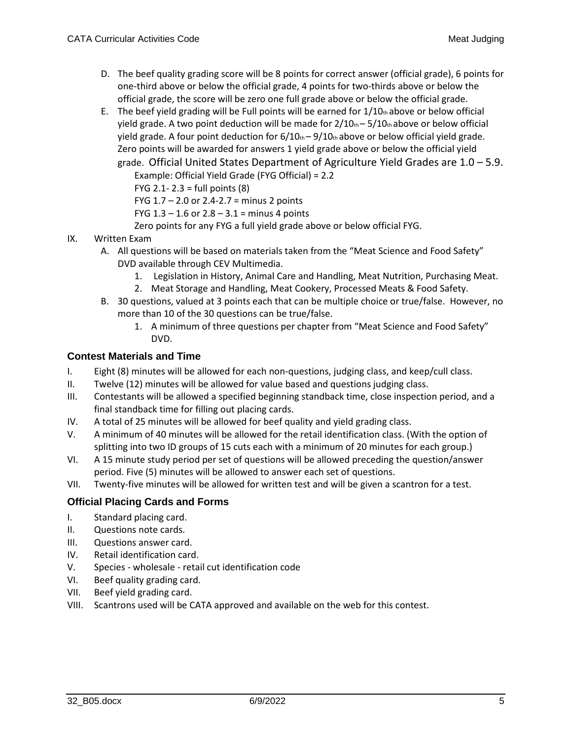- D. The beef quality grading score will be 8 points for correct answer (official grade), 6 points for one-third above or below the official grade, 4 points for two-thirds above or below the official grade, the score will be zero one full grade above or below the official grade.
- E. The beef yield grading will be Full points will be earned for  $1/10<sub>th</sub>$  above or below official yield grade. A two point deduction will be made for  $2/10<sub>th</sub> - 5/10<sub>th</sub>$  above or below official yield grade. A four point deduction for  $6/10<sub>th</sub> - 9/10<sub>th</sub>$  above or below official yield grade. Zero points will be awarded for answers 1 yield grade above or below the official yield grade. Official United States Department of Agriculture Yield Grades are 1.0 – 5.9.

Example: Official Yield Grade (FYG Official) = 2.2

FYG 2.1- 2.3 = full points (8)

FYG  $1.7 - 2.0$  or  $2.4 - 2.7 =$  minus 2 points

FYG  $1.3 - 1.6$  or  $2.8 - 3.1 =$  minus 4 points

Zero points for any FYG a full yield grade above or below official FYG.

- IX. Written Exam
	- A. All questions will be based on materials taken from the "Meat Science and Food Safety" DVD available through CEV Multimedia.
		- 1. Legislation in History, Animal Care and Handling, Meat Nutrition, Purchasing Meat.
		- 2. Meat Storage and Handling, Meat Cookery, Processed Meats & Food Safety.
	- B. 30 questions, valued at 3 points each that can be multiple choice or true/false. However, no more than 10 of the 30 questions can be true/false.
		- 1. A minimum of three questions per chapter from "Meat Science and Food Safety" DVD.

# **Contest Materials and Time**

- I. Eight (8) minutes will be allowed for each non-questions, judging class, and keep/cull class.
- II. Twelve (12) minutes will be allowed for value based and questions judging class.
- III. Contestants will be allowed a specified beginning standback time, close inspection period, and a final standback time for filling out placing cards.
- IV. A total of 25 minutes will be allowed for beef quality and yield grading class.
- V. A minimum of 40 minutes will be allowed for the retail identification class. (With the option of splitting into two ID groups of 15 cuts each with a minimum of 20 minutes for each group.)
- VI. A 15 minute study period per set of questions will be allowed preceding the question/answer period. Five (5) minutes will be allowed to answer each set of questions.
- VII. Twenty-five minutes will be allowed for written test and will be given a scantron for a test.

# **Official Placing Cards and Forms**

- I. Standard placing card.
- II. Questions note cards.
- III. Questions answer card.
- IV. Retail identification card.
- V. Species wholesale retail cut identification code
- VI. Beef quality grading card.
- VII. Beef yield grading card.
- VIII. Scantrons used will be CATA approved and available on the web for this contest.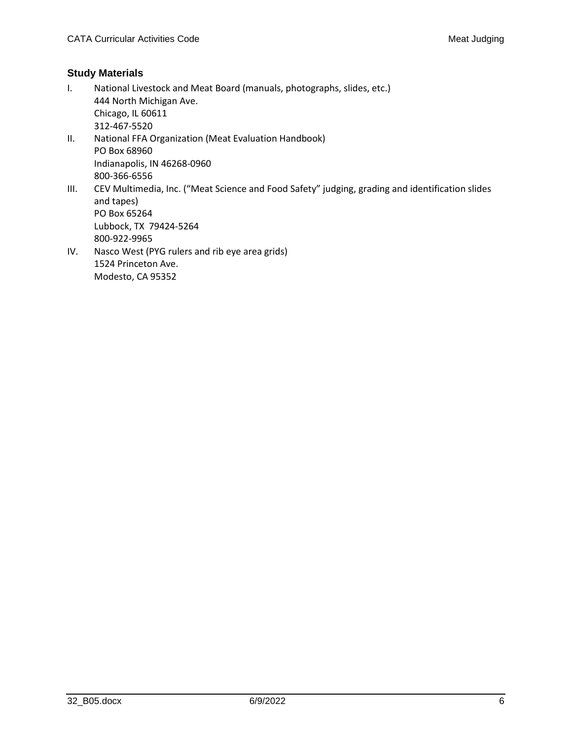# **Study Materials**

I. National Livestock and Meat Board (manuals, photographs, slides, etc.) 444 North Michigan Ave. Chicago, IL 60611 312-467-5520 II. National FFA Organization (Meat Evaluation Handbook) PO Box 68960 Indianapolis, IN 46268-0960 800-366-6556 III. CEV Multimedia, Inc. ("Meat Science and Food Safety" judging, grading and identification slides and tapes) PO Box 65264 Lubbock, TX 79424-5264 800-922-9965 IV. Nasco West (PYG rulers and rib eye area grids) 1524 Princeton Ave. Modesto, CA 95352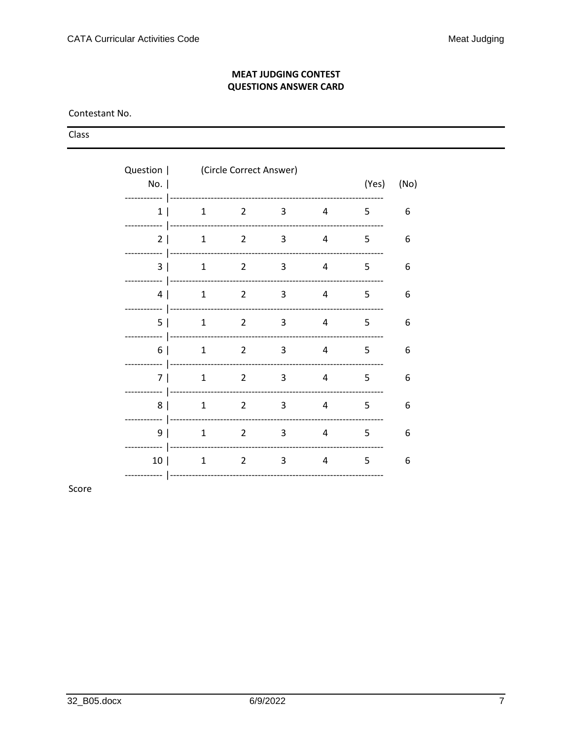#### **MEAT JUDGING CONTEST QUESTIONS ANSWER CARD**

Contestant No.

Class

| No.                            | Question   (Circle Correct Answer) |                |   |   |   | (Yes)<br>(No) |
|--------------------------------|------------------------------------|----------------|---|---|---|---------------|
| ----------<br>1 <br>---------- | -----------------<br>1             | 2              | 3 | 4 | 5 | 6             |
| 2 <sub>1</sub><br>----------   | $\mathbf{1}$                       | $\overline{2}$ | 3 | 4 | 5 | 6             |
| 3<br>---------                 | 1                                  | $\mathcal{L}$  | 3 | 4 | 5 | 6             |
| 4<br>---------                 | $\mathbf{1}$                       | $2^{\circ}$    | 3 | 4 | 5 | 6             |
| 5<br>--------                  | $\mathbf{1}$                       | 2              | 3 | 4 | 5 | 6             |
| 6 I<br>----------              | 1                                  | 2              | 3 | 4 | 5 | 6             |
| 7 I<br>---------               | 1                                  | 2              | 3 | 4 | 5 | 6             |
| 8<br>---------                 | $\mathbf{1}$                       | 2              | 3 | 4 | 5 | 6             |
| 9<br>---------                 | $\mathbf{1}$                       | 2              | 3 | 4 | 5 | 6             |
| 10 <sup>1</sup>                | $\mathbf{1}$                       | 2              | 3 | 4 | 5 | 6             |

Score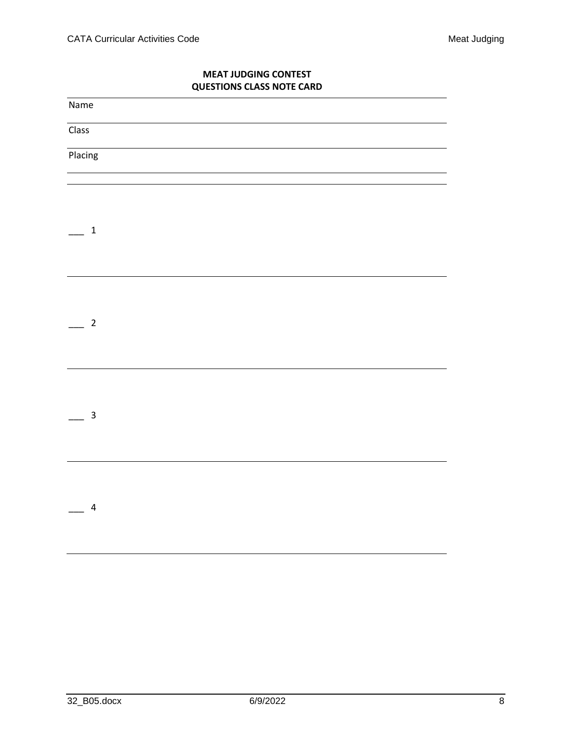## **MEAT JUDGING CONTEST QUESTIONS CLASS NOTE CARD**

| Name                      |  |
|---------------------------|--|
| $\overline{\text{Class}}$ |  |
| Placing                   |  |
|                           |  |
|                           |  |
| $\mathbf{1}$              |  |
|                           |  |
|                           |  |
|                           |  |
| $\overline{c}$            |  |
|                           |  |
|                           |  |
|                           |  |
| 3                         |  |
|                           |  |
|                           |  |
|                           |  |
| $\overline{\mathbf{r}}$   |  |
|                           |  |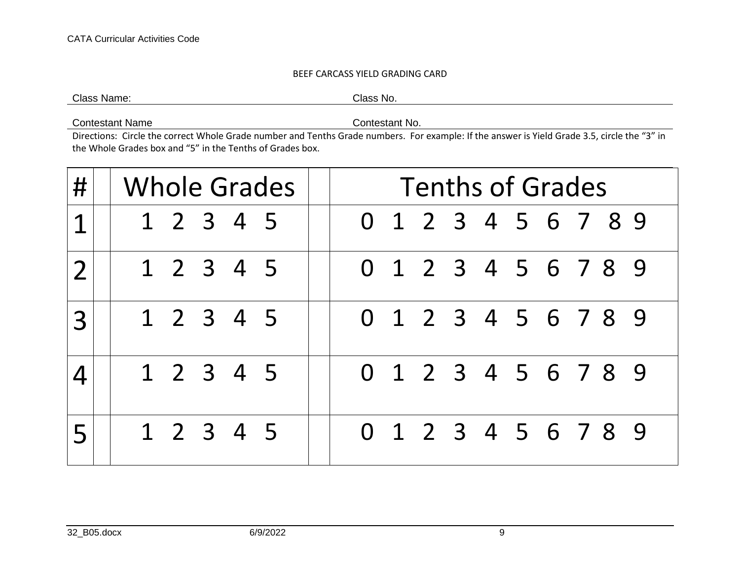#### BEEF CARCASS YIELD GRADING CARD

Class Name: Class No.

Contestant Name Contestant No.

Directions: Circle the correct Whole Grade number and Tenths Grade numbers. For example: If the answer is Yield Grade 3.5, circle the "3" in the Whole Grades box and "5" in the Tenths of Grades box.

| # | Whole Grades | <b>Tenths of Grades</b> |  |
|---|--------------|-------------------------|--|
| 1 | 1 2 3 4 5    | 0 1 2 3 4 5 6 7 8 9     |  |
|   | 1 2 3 4 5    | 0 1 2 3 4 5 6 7 8 9     |  |
| 3 | 1 2 3 4 5    | 0 1 2 3 4 5 6 7 8 9     |  |
|   | 1 2 3 4 5    | 0 1 2 3 4 5 6 7 8 9     |  |
|   | 1 2 3 4 5    | 0 1 2 3 4 5 6 7 8 9     |  |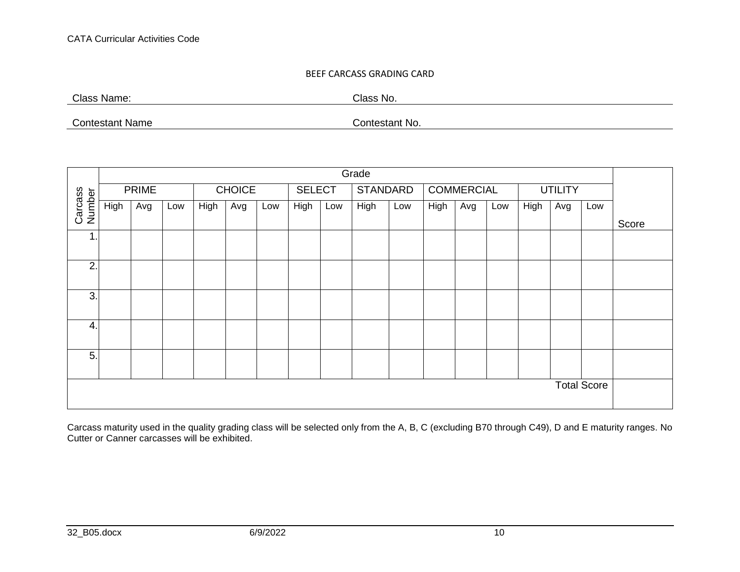#### BEEF CARCASS GRADING CARD

Class Name: Class No.

Contestant Name Contestant No.

| Grade              |      |              |     |      |               |     |               |     |                 |     |      |                   |     |      |                |     |       |
|--------------------|------|--------------|-----|------|---------------|-----|---------------|-----|-----------------|-----|------|-------------------|-----|------|----------------|-----|-------|
|                    |      | <b>PRIME</b> |     |      | <b>CHOICE</b> |     | <b>SELECT</b> |     | <b>STANDARD</b> |     |      | <b>COMMERCIAL</b> |     |      | <b>UTILITY</b> |     |       |
| Carcass<br>Number  | High | Avg          | Low | High | Avg           | Low | High          | Low | High            | Low | High | Avg               | Low | High | Avg            | Low |       |
|                    |      |              |     |      |               |     |               |     |                 |     |      |                   |     |      |                |     | Score |
| $\mathbf 1$        |      |              |     |      |               |     |               |     |                 |     |      |                   |     |      |                |     |       |
| 2.                 |      |              |     |      |               |     |               |     |                 |     |      |                   |     |      |                |     |       |
| 3.                 |      |              |     |      |               |     |               |     |                 |     |      |                   |     |      |                |     |       |
| 4.                 |      |              |     |      |               |     |               |     |                 |     |      |                   |     |      |                |     |       |
| 5.                 |      |              |     |      |               |     |               |     |                 |     |      |                   |     |      |                |     |       |
| <b>Total Score</b> |      |              |     |      |               |     |               |     |                 |     |      |                   |     |      |                |     |       |

Carcass maturity used in the quality grading class will be selected only from the A, B, C (excluding B70 through C49), D and E maturity ranges. No Cutter or Canner carcasses will be exhibited.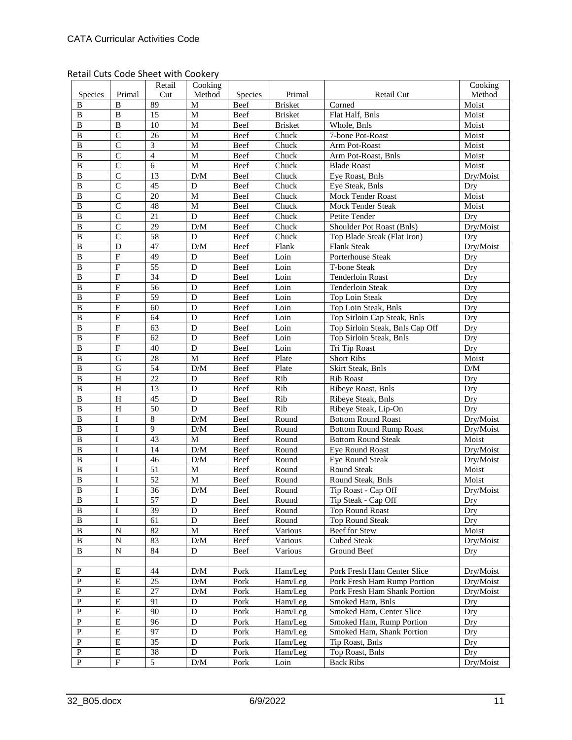Retail Cuts Code Sheet with Cookery

|                         |                         | Retail                  | Cooking                 |             |                |                                 | Cooking         |
|-------------------------|-------------------------|-------------------------|-------------------------|-------------|----------------|---------------------------------|-----------------|
| Species                 | Primal                  | Cut                     | Method                  | Species     | Primal         | Retail Cut                      | Method          |
| B                       | B                       | 89                      | M                       | Beef        | <b>Brisket</b> | Corned                          | Moist           |
| B                       | $\, {\bf B}$            | 15                      | M                       | <b>Beef</b> | <b>Brisket</b> | Flat Half, Bnls                 | Moist           |
| $\, {\bf B}$            | $\, {\bf B}$            | 10                      | M                       | Beef        | <b>Brisket</b> | Whole, Bnls                     | Moist           |
| $\, {\bf B}$            | $\overline{C}$          | $\overline{26}$         | M                       | Beef        | Chuck          | 7-bone Pot-Roast                | Moist           |
| B                       | $\overline{C}$          | $\overline{\mathbf{3}}$ | M                       | Beef        | Chuck          | Arm Pot-Roast                   | Moist           |
| B                       | $\overline{C}$          | $\overline{4}$          | M                       | Beef        | Chuck          | Arm Pot-Roast, Bnls             | Moist           |
| $\, {\bf B}$            | $\overline{C}$          | $\overline{6}$          | M                       | <b>Beef</b> | Chuck          | <b>Blade Roast</b>              | Moist           |
| B                       | $\mathsf{C}$            | 13                      | D/M                     | Beef        | Chuck          | Eye Roast, Bnls                 | Dry/Moist       |
| $\, {\bf B}$            | $\overline{C}$          | 45                      | $\mathbf D$             | Beef        | Chuck          | Eye Steak, Bnls                 | Dry             |
| $\, {\bf B}$            | $\overline{C}$          | 20                      | M                       | Beef        | Chuck          | Mock Tender Roast               | Moist           |
| $\, {\bf B}$            | $\overline{C}$          | 48                      | M                       | Beef        | Chuck          | <b>Mock Tender Steak</b>        | Moist           |
| $\, {\bf B}$            | $\mathsf{C}$            | 21                      | D                       | Beef        | Chuck          | Petite Tender                   | Dry             |
| B                       | $\overline{C}$          | 29                      | $\rm{D}/\rm{M}$         | Beef        | Chuck          | Shoulder Pot Roast (Bnls)       | Dry/Moist       |
| $\, {\bf B}$            | $\overline{C}$          | 58                      | D                       | Beef        | Chuck          | Top Blade Steak (Flat Iron)     | Dry             |
| $\overline{B}$          | $\mathbf D$             | 47                      | $\rm{D}/\rm{M}$         | Beef        | Flank          | <b>Flank Steak</b>              | Dry/Moist       |
| $\, {\bf B}$            | $\overline{F}$          | 49                      | D                       | Beef        | Loin           | Porterhouse Steak               | Dry             |
| $\, {\bf B}$            | $\overline{F}$          | 55                      | D                       | Beef        | Loin           | T-bone Steak                    | Dry             |
| B                       | $\overline{F}$          | 34                      | D                       | Beef        | Loin           | <b>Tenderloin Roast</b>         | Dry             |
| $\, {\bf B}$            | $\overline{F}$          | 56                      | $\overline{D}$          | Beef        | Loin           | <b>Tenderloin Steak</b>         | Dry             |
| $\, {\bf B}$            | $\overline{F}$          | $\overline{59}$         | $\overline{D}$          | Beef        | Loin           | Top Loin Steak                  | Dry             |
| $\, {\bf B}$            | $\overline{\mathrm{F}}$ | $\overline{60}$         | $\overline{D}$          | Beef        | Loin           | Top Loin Steak, Bnls            | Dry             |
| $\, {\bf B}$            | $\overline{F}$          | 64                      | $\overline{D}$          | Beef        | Loin           | Top Sirloin Cap Steak, Bnls     | Dry             |
| $\, {\bf B}$            | $\overline{F}$          | 63                      | D                       | Beef        | Loin           | Top Sirloin Steak, Bnls Cap Off | Dry             |
| $\, {\bf B}$            | $\overline{F}$          | 62                      | $\overline{D}$          | Beef        | Loin           | Top Sirloin Steak, Bnls         | Dry             |
| $\bf{B}$                | $\overline{F}$          | 40                      | $\overline{D}$          | Beef        | Loin           | Tri Tip Roast                   | Dry             |
| $\, {\bf B}$            | $\overline{G}$          | 28                      | M                       | Beef        | Plate          | <b>Short Ribs</b>               | Moist           |
| $\, {\bf B}$            | $\mathbf G$             | 54                      | $\overline{D/M}$        | Beef        | Plate          | Skirt Steak, Bnls               | $\rm{D}/\rm{M}$ |
| $\, {\bf B}$            | H                       | 22                      | D                       | Beef        | Rib            | Rib Roast                       | Dry             |
| $\, {\bf B}$            | H                       | 13                      | D                       | Beef        | Rib            | Ribeye Roast, Bnls              | Dry             |
| $\, {\bf B}$            | $\, {\rm H}$            | 45                      | $\mathbf D$             | Beef        | Rib            | Ribeye Steak, Bnls              | Dry             |
| B                       | H                       | 50                      | $\mathbf D$             | Beef        | Rib            | Ribeye Steak, Lip-On            | Dry             |
| $\overline{B}$          | $\mathbf I$             | $\overline{8}$          | D/M                     | Beef        | Round          | <b>Bottom Round Roast</b>       | Dry/Moist       |
| B                       | I                       | $\overline{9}$          | $\rm{D}/\rm{M}$         | Beef        | Round          | <b>Bottom Round Rump Roast</b>  | Dry/Moist       |
| $\, {\bf B}$            | I                       | 43                      | M                       | Beef        | Round          | <b>Bottom Round Steak</b>       | Moist           |
| $\, {\bf B}$            | $\mathbf I$             | 14                      | $\mathbf{D}/\mathbf{M}$ | Beef        | Round          | <b>Eye Round Roast</b>          | Dry/Moist       |
| $\overline{B}$          | I                       | 46                      | $\rm{D}/\rm{M}$         | Beef        | Round          | Eye Round Steak                 | Dry/Moist       |
| $\, {\bf B}$            | $\mathbf I$             | 51                      | $\mathbf M$             | Beef        | Round          | Round Steak                     | Moist           |
| $\, {\bf B}$            | I                       | $\overline{52}$         | M                       | <b>Beef</b> | Round          | Round Steak, Bnls               | Moist           |
| $\, {\bf B}$            | I                       | 36                      | D/M                     | Beef        | Round          | Tip Roast - Cap Off             | Dry/Moist       |
| $\overline{\mathbf{B}}$ | $\overline{I}$          | 57                      | $\overline{D}$          | <b>Beef</b> | Round          | Tip Steak - Cap Off             | Dry             |
| $\, {\bf B}$            | $\bf I$                 | 39                      | $\overline{D}$          | Beef        | Round          | <b>Top Round Roast</b>          | Dry             |
| B                       | I                       | 61                      | $\overline{D}$          | Beef        | Round          | <b>Top Round Steak</b>          | Dry             |
| $\, {\bf B}$            | ${\bf N}$               | 82                      | $\mathbf{M}$            |             |                | Beef for Stew                   |                 |
|                         |                         |                         |                         | Beef        | Various        | <b>Cubed Steak</b>              | Moist           |
| B<br>$\, {\bf B}$       | N<br>$\overline{N}$     | 83<br>84                | D/M<br>${\bf D}$        | Beef        | Various        | Ground Beef                     | Dry/Moist       |
|                         |                         |                         |                         | Beef        | Various        |                                 | Dry             |
|                         |                         |                         |                         |             |                |                                 |                 |
| ${\bf P}$               | $\overline{E}$          | 44                      | $\rm{D}/\rm{M}$         | Pork        | Ham/Leg        | Pork Fresh Ham Center Slice     | Dry/Moist       |
| $\mathbf{P}$            | ${\bf E}$               | 25                      | D/M                     | Pork        | Ham/Leg        | Pork Fresh Ham Rump Portion     | Dry/Moist       |
| $\mathbf{P}$            | ${\bf E}$               | 27                      | D/M                     | Pork        | Ham/Leg        | Pork Fresh Ham Shank Portion    | Dry/Moist       |
| $\mathbf{P}$            | $\overline{E}$          | 91                      | ${\bf D}$               | Pork        | Ham/Leg        | Smoked Ham, Bnls                | Dry             |
| ${\bf P}$               | $\overline{E}$          | $\overline{90}$         | $\overline{D}$          | Pork        | Ham/Leg        | Smoked Ham, Center Slice        | Dry             |
| $\overline{P}$          | $\overline{E}$          | 96                      | $\overline{D}$          | Pork        | Ham/Leg        | Smoked Ham, Rump Portion        | Dry             |
| $\mathbf{P}$            | ${\bf E}$               | 97                      | ${\bf D}$               | Pork        | Ham/Leg        | Smoked Ham, Shank Portion       | Dry             |
| $\mathbf{P}$            | ${\bf E}$               | 35                      | ${\rm D}$               | Pork        | Ham/Leg        | Tip Roast, Bnls                 | Dry             |
| ${\bf P}$               | ${\bf E}$               | 38                      | ${\bf D}$               | Pork        | Ham/Leg        | Top Roast, Bnls                 | Dry             |
| $\mathbf{P}$            | $\overline{F}$          | $\overline{5}$          | D/M                     | Pork        | Loin           | <b>Back Ribs</b>                | Dry/Moist       |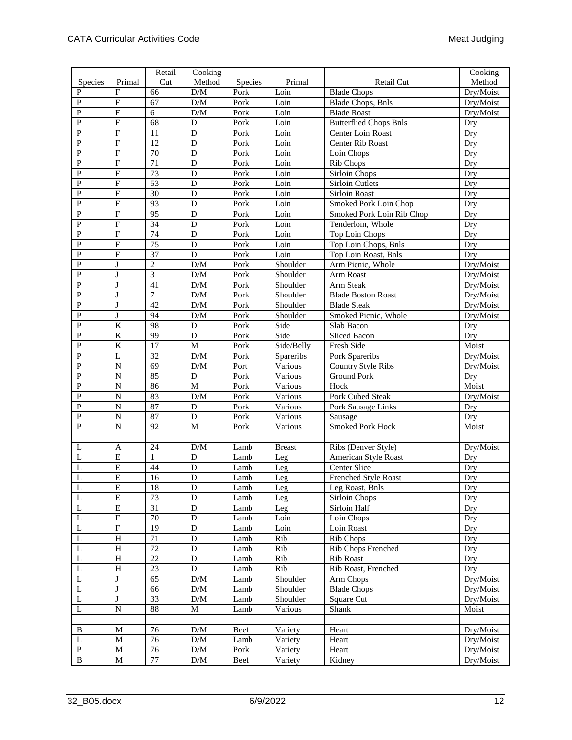|                |                         | Retail          | Cooking                 |         |               |                               | Cooking   |
|----------------|-------------------------|-----------------|-------------------------|---------|---------------|-------------------------------|-----------|
| Species        | Primal                  | Cut             | Method                  | Species | Primal        | Retail Cut                    | Method    |
| P              | F                       | 66              | $\rm{D}/\rm{M}$         | Pork    | Loin          | <b>Blade Chops</b>            | Dry/Moist |
| P              | $\mathbf{F}$            | 67              | D/M                     | Pork    | Loin          | <b>Blade Chops</b> , Bnls     | Dry/Moist |
| ${\bf P}$      | $\overline{F}$          | 6               | $\rm{D}/\rm{M}$         | Pork    | Loin          | <b>Blade Roast</b>            | Dry/Moist |
| ${\bf P}$      | $\overline{F}$          | 68              | D                       | Pork    | Loin          | <b>Butterflied Chops Bnls</b> | Dry       |
| $\mathbf{P}$   | $\overline{F}$          | $\overline{11}$ | $\mathbf D$             | Pork    | Loin          | Center Loin Roast             | Dry       |
| $\mathbf{P}$   | $\overline{F}$          | $\overline{12}$ | D                       | Pork    | Loin          | Center Rib Roast              | Dry       |
| ${\bf P}$      | $\overline{\mathrm{F}}$ | $\overline{70}$ | D                       | Pork    | Loin          | Loin Chops                    | Dry       |
| $\mathbf{P}$   | $\overline{F}$          | $\overline{71}$ | D                       | Pork    | Loin          | Rib Chops                     | Dry       |
| $\mathbf{P}$   | $\overline{\mathrm{F}}$ | 73              | D                       | Pork    | Loin          | <b>Sirloin Chops</b>          | Dry       |
| ${\bf P}$      | $\overline{F}$          | 53              | D                       | Pork    | Loin          | Sirloin Cutlets               | Dry       |
| $\overline{P}$ | $\overline{F}$          | $\overline{30}$ | D                       | Pork    | Loin          | Sirloin Roast                 | Dry       |
| ${\bf P}$      | $\overline{F}$          | 93              | D                       | Pork    | Loin          | Smoked Pork Loin Chop         | Dry       |
| $\mathbf{P}$   | $\overline{F}$          | 95              | D                       | Pork    | Loin          | Smoked Pork Loin Rib Chop     | Dry       |
| ${\bf P}$      | $\overline{F}$          | 34              | D                       | Pork    | Loin          | Tenderloin, Whole             | Dry       |
| $\mathbf{P}$   | $\overline{F}$          | 74              | D                       | Pork    | Loin          | Top Loin Chops                | Dry       |
| $\mathbf{P}$   | $\overline{F}$          | 75              | $\mathbf D$             | Pork    | Loin          | Top Loin Chops, Bnls          | Dry       |
| ${\bf P}$      | $\mathbf F$             | $\overline{37}$ | D                       | Pork    | Loin          | Top Loin Roast, Bnls          | Dry       |
| ${\bf P}$      | J                       | $\overline{c}$  | $\rm{D}/\rm{M}$         | Pork    | Shoulder      | Arm Picnic, Whole             | Dry/Moist |
| P              | J                       | $\overline{3}$  | $\rm{D}/\rm{M}$         | Pork    | Shoulder      | Arm Roast                     | Dry/Moist |
| ${\bf P}$      | J                       | 41              | D/M                     | Pork    | Shoulder      | <b>Arm Steak</b>              | Dry/Moist |
| $\mathbf{P}$   | J                       | 7               | D/M                     | Pork    | Shoulder      | <b>Blade Boston Roast</b>     | Dry/Moist |
| ${\bf P}$      | J                       | 42              | D/M                     | Pork    | Shoulder      | <b>Blade Steak</b>            | Dry/Moist |
| $\mathbf{P}$   | J                       | $\overline{94}$ | $\rm{D}/\rm{M}$         | Pork    | Shoulder      | Smoked Picnic, Whole          | Dry/Moist |
| $\overline{P}$ | $\overline{K}$          | 98              | $\mathbf D$             | Pork    | Side          | Slab Bacon                    | Dry       |
| ${\bf P}$      | $\overline{\mathbf{K}}$ | 99              | $\mathbf D$             | Pork    | Side          | Sliced Bacon                  | Dry       |
| $\mathbf{P}$   | $\rm K$                 | 17              | $\mathbf M$             | Pork    | Side/Belly    | Fresh Side                    | Moist     |
| ${\bf P}$      | L                       | 32              | $\rm{D}/\rm{M}$         | Pork    | Spareribs     | Pork Spareribs                | Dry/Moist |
| $\mathbf{P}$   | $\overline{N}$          | 69              | D/M                     | Port    | Various       | Country Style Ribs            | Dry/Moist |
| ${\bf P}$      | $\mathbf N$             | 85              | D                       | Pork    | Various       | <b>Ground Pork</b>            | Dry       |
| ${\bf P}$      | $\overline{N}$          | 86              | $\mathbf{M}$            | Pork    | Various       | Hock                          | Moist     |
| ${\bf P}$      | $\overline{N}$          | 83              | D/M                     | Pork    | Various       | Pork Cubed Steak              | Dry/Moist |
| $\mathbf{P}$   | $\overline{N}$          | 87              | D                       | Pork    | Various       | Pork Sausage Links            | Dry       |
| $\overline{P}$ | $\overline{N}$          | 87              | D                       | Pork    | Various       | Sausage                       | Dry       |
| $\mathbf{P}$   | $\mathbf N$             | $\overline{92}$ | $\overline{M}$          | Pork    | Various       | Smoked Pork Hock              | Moist     |
|                |                         |                 |                         |         |               |                               |           |
| L              | $\mathbf{A}$            | 24              | $\rm{D}/\rm{M}$         | Lamb    | <b>Breast</b> | Ribs (Denver Style)           | Dry/Moist |
| L              | $\overline{E}$          | $\mathbf{1}$    | D                       | Lamb    | Leg           | American Style Roast          | Dry       |
| L              | $\mathbf E$             | 44              | D                       | Lamb    | Leg           | Center Slice                  | Dry       |
| $\mathbf{L}$   | E                       | 16              | $\mathbf D$             | Lamb    | Leg           | Frenched Style Roast          | Dry       |
| $\overline{L}$ | $\overline{E}$          | 18              | $\overline{D}$          | Lamb    | Leg           | Leg Roast, Bnls               | Dry       |
| L              | $\mathbf E$             | 73              | $\mathbf D$             | Lamb    | Leg           | Sirloin Chops                 | Dry       |
| $\mathbf L$    | ${\bf E}$               | 31              | ${\bf D}$               | Lamb    | Leg           | Sirloin Half                  | Dry       |
| L              | $\overline{\mathrm{F}}$ | $70\,$          | D                       | Lamb    | Loin          | Loin Chops                    | Dry       |
| L              | $\overline{\mathrm{F}}$ | 19              | ${\bf D}$               | Lamb    | Loin          | Loin Roast                    | Dry       |
| L              | $\overline{H}$          | $\overline{71}$ | $\mathbf D$             | Lamb    | Rib           | Rib Chops                     | Dry       |
| L              | $\overline{H}$          | 72              | $\overline{D}$          | Lamb    | Rib           | <b>Rib Chops Frenched</b>     | Dry       |
| L              | $\mathbf H$             | 22              | ${\bf D}$               | Lamb    | Rib           | Rib Roast                     | Dry       |
| L              | $\overline{H}$          | 23              | $\mathbf D$             | Lamb    | Rib           | Rib Roast, Frenched           | Dry       |
| L              | J                       | 65              | D/M                     | Lamb    | Shoulder      | Arm Chops                     | Dry/Moist |
| $\mathbf L$    | $\bf J$                 | 66              | $\rm{D}/\rm{M}$         | Lamb    | Shoulder      | <b>Blade Chops</b>            | Dry/Moist |
| L              | J                       | $\overline{33}$ | D/M                     | Lamb    | Shoulder      | Square Cut                    | Dry/Moist |
| L              | $\overline{N}$          | $\overline{88}$ | $\mathbf M$             | Lamb    | Various       | Shank                         | Moist     |
|                |                         |                 |                         |         |               |                               |           |
| B              | M                       | 76              | D/M                     | Beef    | Variety       | Heart                         | Dry/Moist |
| L              | $\mathbf M$             | 76              | D/M                     | Lamb    | Variety       | Heart                         | Dry/Moist |
| ${\bf P}$      | $\mathbf M$             | 76              | D/M                     | Pork    | Variety       | Heart                         | Dry/Moist |
| $\, {\bf B}$   | $\mathbf M$             | $77\,$          | $\mathbf{D}/\mathbf{M}$ | Beef    | Variety       | Kidney                        | Dry/Moist |
|                |                         |                 |                         |         |               |                               |           |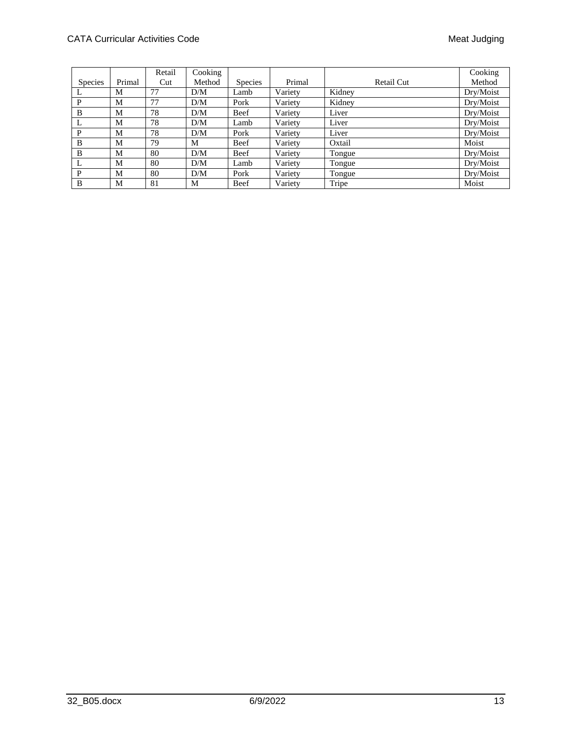|                |        | Retail | Cooking |                |         |            | Cooking   |
|----------------|--------|--------|---------|----------------|---------|------------|-----------|
| <b>Species</b> | Primal | Cut    | Method  | <b>Species</b> | Primal  | Retail Cut | Method    |
|                | М      | 77     | D/M     | Lamb           | Variety | Kidney     | Dry/Moist |
| P              | М      | 77     | D/M     | Pork           | Variety | Kidney     | Dry/Moist |
| B              | М      | 78     | D/M     | Beef           | Variety | Liver      | Dry/Moist |
| L              | М      | 78     | D/M     | Lamb           | Variety | Liver      | Dry/Moist |
| P              | М      | 78     | D/M     | Pork           | Variety | Liver      | Dry/Moist |
| B              | М      | 79     | M       | Beef           | Variety | Oxtail     | Moist     |
| B              | М      | 80     | D/M     | Beef           | Variety | Tongue     | Dry/Moist |
| $\mathbf{L}$   | М      | 80     | D/M     | Lamb           | Variety | Tongue     | Dry/Moist |
| P              | М      | 80     | D/M     | Pork           | Variety | Tongue     | Dry/Moist |
| B              | M      | 81     | M       | Beef           | Variety | Tripe      | Moist     |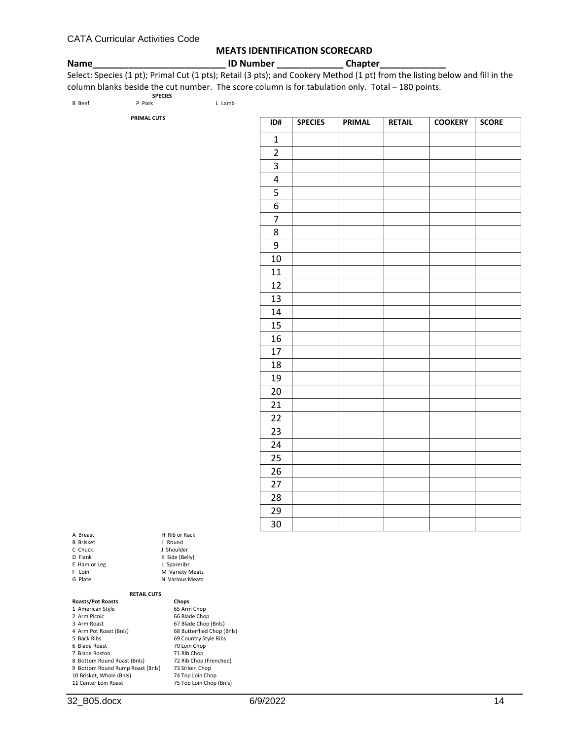#### **MEATS IDENTIFICATION SCORECARD**

**Name\_\_\_\_\_\_\_\_\_\_\_\_\_\_\_\_\_\_\_\_\_\_\_\_\_\_ ID Number \_\_\_\_\_\_\_\_\_\_\_\_\_ Chapter\_\_\_\_\_\_\_\_\_\_\_\_\_**

Select: Species (1 pt); Primal Cut (1 pts); Retail (3 pts); and Cookery Method (1 pt) from the listing below and fill in the column blanks beside the cut number. The score column is for tabulation only. Total – 180 points.

|               | <b>SPECIES</b>     |        |
|---------------|--------------------|--------|
| <b>B</b> Beef | P Pork             | L Lamb |
|               | <b>PRIMAL CUTS</b> |        |
|               |                    |        |
|               |                    |        |
|               |                    |        |

| ID#            | <b>SPECIES</b> | <b>PRIMAL</b> | <b>RETAIL</b> | <b>COOKERY</b> | <b>SCORE</b> |
|----------------|----------------|---------------|---------------|----------------|--------------|
| $\mathbf{1}$   |                |               |               |                |              |
| $\overline{c}$ |                |               |               |                |              |
| 3              |                |               |               |                |              |
| $\overline{4}$ |                |               |               |                |              |
|                |                |               |               |                |              |
| $\overline{6}$ |                |               |               |                |              |
| $\overline{7}$ |                |               |               |                |              |
| $\overline{8}$ |                |               |               |                |              |
| 9              |                |               |               |                |              |
| 10             |                |               |               |                |              |
| 11             |                |               |               |                |              |
| 12             |                |               |               |                |              |
| 13             |                |               |               |                |              |
| 14             |                |               |               |                |              |
| 15             |                |               |               |                |              |
| 16             |                |               |               |                |              |
| 17             |                |               |               |                |              |
| 18             |                |               |               |                |              |
| 19             |                |               |               |                |              |
| 20             |                |               |               |                |              |
| 21             |                |               |               |                |              |
| 22             |                |               |               |                |              |
| 23             |                |               |               |                |              |
| 24             |                |               |               |                |              |
| 25             |                |               |               |                |              |
| 26             |                |               |               |                |              |
| 27             |                |               |               |                |              |
| 28             |                |               |               |                |              |
| 29             |                |               |               |                |              |
| 30             |                |               |               |                |              |

| A Breast         | H Rib or Rack   |
|------------------|-----------------|
| <b>B</b> Brisket | Round<br>ı      |
| C. Chuck         | J Shoulder      |
| D Flank          | K Side (Belly)  |
| E Ham or Leg     | L Spareribs     |
| F Loin           | M Variety Meats |
| G Plate          | N Various Meats |
|                  |                 |

#### **RETAIL CUTS Roasts/Pot Poasts Chops**

| ROASTS/POT ROASTS                | <b>Chops</b>               |
|----------------------------------|----------------------------|
| 1 American Style                 | 65 Arm Chop                |
| 2 Arm Picnic                     | 66 Blade Chop              |
| 3 Arm Roast                      | 67 Blade Chop (Bnls)       |
| 4 Arm Pot Roast (Bnls)           | 68 Butterflied Chop (Bnls) |
| 5 Back Ribs                      | 69 Country Style Ribs      |
| 6 Blade Roast                    | 70 Loin Chop               |
| 7 Blade Boston                   | 71 Rib Chop                |
| 8 Bottom Round Roast (Bnls)      | 72 Rib Chop (Frenched)     |
| 9 Bottom Round Rump Roast (Bnls) | 73 Sirloin Chop            |
| 10 Brisket, Whole (Bnls)         | 74 Top Loin Chop           |
| 11 Center Loin Roast             | 75 Top Loin Chop (Bnls)    |
|                                  |                            |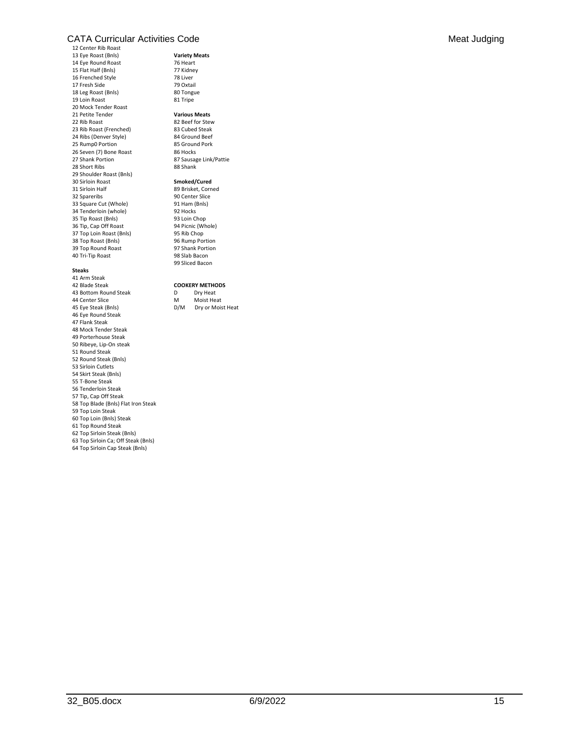#### CATA Curricular Activities Code **Meat Judging** Context of Meat Judging Context of Meat Judging

12 Center Rib Roast 13 Eye Roast (Bnls) **Variety Meats** 14 Eye Round Roast 76 Heart 15 Flat Half (Bnls) 77 Kidney 16 Frenched Style 78 Liver 17 Fresh Side 79 Oxtail<br>18 Leg Roast (Bnls) 80 Tongue 18 Leg Roast (Bnls) 19 Loin Roast 81 Tripe 20 Mock Tender Roast 21 Petite Tender **Various Meats** 22 Rib Roast 82 Beef for Stew 23 Rib Roast (Frenched) 83 Cubed Steak 24 Ribs (Denver Style) 84 Ground Beef<br>25 Rump0 Portion 85 Ground Pork 25 Rump0 Portion 26 Seven (7) Bone Roast 86 Hocks<br>27 Shank Portion 87 Sausae 28 Short Ribs 29 Shoulder Roast (Bnls) 30 Sirloin Roast **Smoked/Cured** 32 Spareribs 90 Center Slice<br>
33 Square Cut (Whole) 91 Ham (Bnls) 33 Square Cut (Whole) 91 Ham (Boss) 91 Ham (Boss) 92 Hocks 34 Tenderloin (whole) 35 Tip Roast (Bnls) 93 Loin Chop<br>36 Tip, Cap Off Roast 94 Picnic (Whole) 36 Tip, Cap Off Roast 94 Picnic (W<br>37 Top Loin Roast (Bnls) 95 Rib Chop 37 Top Loin Roast (Bnls) 95 Rib Chop<br>38 Top Roast (Bnls) 96 Rump Portion 38 Top Roast (Bnls) 39 Top Round Roast 97 Shank Portion<br>40 Tri-Tip Roast 98 Slab Bacon 40 Tri-Tip Roast

#### **Steaks**

41 Arm Steak 42 Blade Steak **COOKERY METHODS** 43 Bottom Round Steak 44 Center Slice M Moist Heat 45 Eye Steak (Bnls) 46 Eye Round Steak 47 Flank Steak 48 Mock Tender Steak 49 Porterhouse Steak 50 Ribeye, Lip-On steak 51 Round Steak 52 Round Steak (Bnls) 53 Sirloin Cutlets 54 Skirt Steak (Bnls) 55 T-Bone Steak 56 Tenderloin Steak 57 Tip, Cap Off Steak 58 Top Blade (Bnls) Flat Iron Steak 59 Top Loin Steak 60 Top Loin (Bnls) Steak 61 Top Round Steak 62 Top Sirloin Steak (Bnls) 63 Top Sirloin Ca; Off Steak (Bnls) 64 Top Sirloin Cap Steak (Bnls)

87 Sausage Link/Pattie<br>88 Shank

89 Brisket, Corned<br>90 Center Slice 99 Sliced Bacon